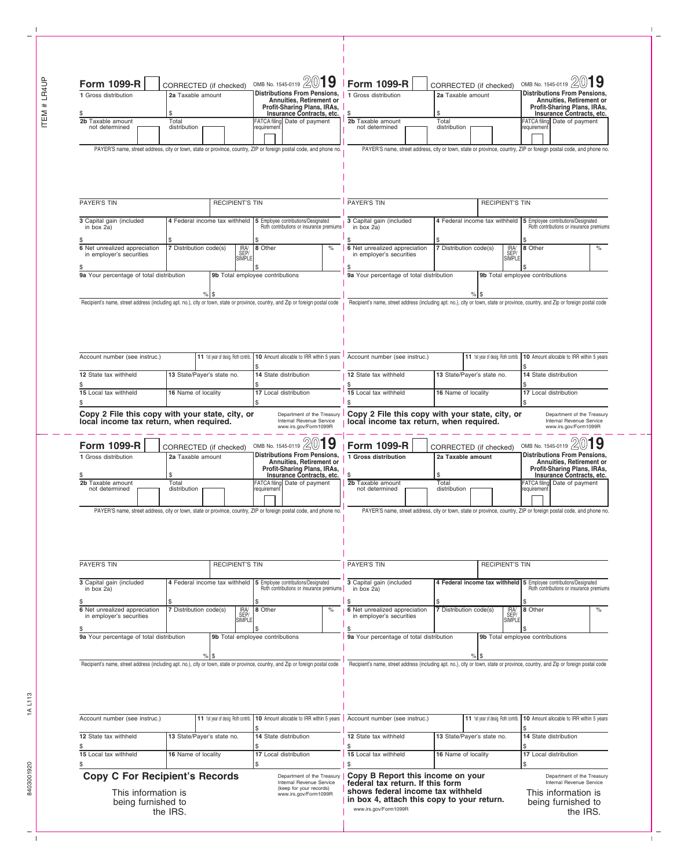ITEM # LR4UP

 $\overline{1}$ 

| 1 Gross distribution<br>2b Taxable amount<br>not determined                                                                     | 2a Taxable amount<br>\$<br>Total<br>distribution                                                                                                                                                             |                                     | <b>Distributions From Pensions,</b><br>Annuities, Retirement or<br>Profit-Sharing Plans, IRAs,<br>Insurance Contracts, etc.<br>FATCA filing Date of payment<br>requirement |      | 1 Gross distribution<br>2a Taxable amount<br>\$<br>S<br>2b Taxable amount<br>Total<br>not determined<br>distribution            |                                                                                                                                                                                   |                                     | <b>Distributions From Pensions,</b><br>Annuities, Retirement or<br>Profit-Sharing Plans, IRAs,<br>Insurance Contracts, etc.<br>FATCA filing Date of payment<br>requirement |                       |  |
|---------------------------------------------------------------------------------------------------------------------------------|--------------------------------------------------------------------------------------------------------------------------------------------------------------------------------------------------------------|-------------------------------------|----------------------------------------------------------------------------------------------------------------------------------------------------------------------------|------|---------------------------------------------------------------------------------------------------------------------------------|-----------------------------------------------------------------------------------------------------------------------------------------------------------------------------------|-------------------------------------|----------------------------------------------------------------------------------------------------------------------------------------------------------------------------|-----------------------|--|
|                                                                                                                                 |                                                                                                                                                                                                              |                                     | PAYER'S name, street address, city or town, state or province, country, ZIP or foreign postal code, and phone no.                                                          |      | PAYER'S name, street address, city or town, state or province, country, ZIP or foreign postal code, and phone no.               |                                                                                                                                                                                   |                                     |                                                                                                                                                                            |                       |  |
|                                                                                                                                 |                                                                                                                                                                                                              |                                     |                                                                                                                                                                            |      |                                                                                                                                 |                                                                                                                                                                                   |                                     |                                                                                                                                                                            |                       |  |
| <b>PAYER'S TIN</b>                                                                                                              |                                                                                                                                                                                                              | <b>RECIPIENT'S TIN</b>              |                                                                                                                                                                            |      | <b>PAYER'S TIN</b><br><b>RECIPIENT'S TIN</b>                                                                                    |                                                                                                                                                                                   |                                     |                                                                                                                                                                            |                       |  |
| 3 Capital gain (included<br>in box 2a)                                                                                          |                                                                                                                                                                                                              | 4 Federal income tax withheld       | 5 Employee contributions/Designated<br>Roth contributions or insurance premiums<br>\$                                                                                      |      | 3 Capital gain (included<br>in box 2a)                                                                                          |                                                                                                                                                                                   |                                     | 4 Federal income tax withheld 5 Employee contributions/Designated<br>Roth contributions or insurance premiums<br>\$                                                        |                       |  |
| 6 Net unrealized appreciation<br>in employer's securities                                                                       | 7 Distribution code(s)                                                                                                                                                                                       | IRA/<br>SEP/<br>SIMPLE              | 8 Other                                                                                                                                                                    | $\%$ | 6 Net unrealized appreciation<br>in employer's securities                                                                       | 7 Distribution code(s)                                                                                                                                                            | IRA/<br>SEP/<br>SIMPLE              | 8 Other                                                                                                                                                                    | $\%$                  |  |
| 9a Your percentage of total distribution                                                                                        |                                                                                                                                                                                                              |                                     | 9b Total employee contributions                                                                                                                                            |      | 9a Your percentage of total distribution                                                                                        |                                                                                                                                                                                   |                                     | 9b Total employee contributions                                                                                                                                            |                       |  |
| Recipient's name, street address (including apt. no.), city or town, state or province, country, and Zip or foreign postal code |                                                                                                                                                                                                              |                                     |                                                                                                                                                                            |      | Recipient's name, street address (including apt. no.), city or town, state or province, country, and Zip or foreign postal code |                                                                                                                                                                                   |                                     |                                                                                                                                                                            |                       |  |
|                                                                                                                                 |                                                                                                                                                                                                              |                                     |                                                                                                                                                                            |      |                                                                                                                                 |                                                                                                                                                                                   |                                     |                                                                                                                                                                            |                       |  |
| Account number (see instruc.)                                                                                                   |                                                                                                                                                                                                              | 11 1st year of desig. Roth contrib. | 10 Amount allocable to IRR within 5 years                                                                                                                                  |      | Account number (see instruc.)                                                                                                   |                                                                                                                                                                                   | 11 1st year of desig. Roth contrib. | 10 Amount allocable to IRR within 5 years                                                                                                                                  |                       |  |
| 12 State tax withheld                                                                                                           | 13 State/Payer's state no.                                                                                                                                                                                   |                                     | 14 State distribution                                                                                                                                                      |      | 12 State tax withheld                                                                                                           | 13 State/Payer's state no.                                                                                                                                                        |                                     |                                                                                                                                                                            | 14 State distribution |  |
| 15 Local tax withheld                                                                                                           | 16 Name of locality                                                                                                                                                                                          |                                     | 17 Local distribution                                                                                                                                                      |      | 15 Local tax withheld                                                                                                           | 16 Name of locality                                                                                                                                                               |                                     |                                                                                                                                                                            | 17 Local distribution |  |
| 1 Gross distribution<br>2b Taxable amount<br>not determined                                                                     | 2a Taxable amount<br>\$<br>Total<br>distribution                                                                                                                                                             |                                     | <b>Distributions From Pensions,</b><br>Annuities, Retirement or<br>Profit-Sharing Plans, IRAs,<br>Insurance Contracts, etc.<br>FATCA filing Date of payment<br>requirement |      | 1 Gross distribution<br>2b Taxable amount<br>not determined                                                                     | 2a Taxable amount<br>S<br>Total<br>distribution                                                                                                                                   |                                     | <b>Distributions From Pensions,</b><br>Annuities, Retirement or<br>Profit-Sharing Plans, IRAs,<br>Insurance Contracts, etc.<br>FATCA filing Date of payment<br>requirement |                       |  |
| PAYER'S name, street address, city or town, state or province, country, ZIP or foreign postal code, and phone no.               |                                                                                                                                                                                                              |                                     |                                                                                                                                                                            |      | PAYER'S name, street address, city or town, state or province, country, ZIP or foreign postal code, and phone no.               |                                                                                                                                                                                   |                                     |                                                                                                                                                                            |                       |  |
| PAYER'S TIN                                                                                                                     | <b>RECIPIENT'S TIN</b>                                                                                                                                                                                       |                                     |                                                                                                                                                                            |      | <b>PAYER'S TIN</b>                                                                                                              |                                                                                                                                                                                   |                                     | <b>RECIPIENT'S TIN</b>                                                                                                                                                     |                       |  |
| 3 Capital gain (included<br>in box $2a$ )                                                                                       |                                                                                                                                                                                                              | 4 Federal income tax withheld       | 5 Employee contributions/Designated<br>Roth contributions or insurance premiums                                                                                            |      | 3 Capital gain (included<br>in box 2a)<br>\$                                                                                    |                                                                                                                                                                                   | 4 Federal income tax withheld       | Employee contributions/Designated<br>Roth contributions or insurance premiums<br>15                                                                                        |                       |  |
| 6 Net unrealized appreciation<br>in employer's securities                                                                       | 7 Distribution code(s)                                                                                                                                                                                       | IRA/<br>SEP/<br>SIMPLE              | 8 Other                                                                                                                                                                    | $\%$ | 6 Net unrealized appreciation<br>in employer's securities                                                                       | 7 Distribution code(s)                                                                                                                                                            | IRA<br>SEP/<br>SIMPLE               | 8 Other                                                                                                                                                                    | $\%$                  |  |
| 9a Your percentage of total distribution                                                                                        |                                                                                                                                                                                                              |                                     | 9b Total employee contributions                                                                                                                                            |      | 9a Your percentage of total distribution                                                                                        |                                                                                                                                                                                   |                                     | 9b Total employee contributions                                                                                                                                            |                       |  |
| Recipient's name, street address (including apt. no.), city or town, state or province, country, and Zip or foreign postal code |                                                                                                                                                                                                              | $%$ S                               |                                                                                                                                                                            |      | Recipient's name, street address (including apt. no.), city or town, state or province, country, and Zip or foreign postal code |                                                                                                                                                                                   |                                     |                                                                                                                                                                            |                       |  |
|                                                                                                                                 |                                                                                                                                                                                                              |                                     |                                                                                                                                                                            |      |                                                                                                                                 |                                                                                                                                                                                   |                                     |                                                                                                                                                                            |                       |  |
| Account number (see instruc.)                                                                                                   |                                                                                                                                                                                                              | 11 1st year of desig. Roth contrib. | 10 Amount allocable to IRR within 5 years                                                                                                                                  |      | Account number (see instruc.)                                                                                                   |                                                                                                                                                                                   | 11 1st year of desig. Roth contrib. | 10 Amount allocable to IRR within 5 years                                                                                                                                  |                       |  |
| 12 State tax withheld                                                                                                           | 13 State/Payer's state no.                                                                                                                                                                                   |                                     | 14 State distribution                                                                                                                                                      |      | 12 State tax withheld                                                                                                           |                                                                                                                                                                                   | 13 State/Payer's state no.          | 14 State distribution                                                                                                                                                      |                       |  |
| 15 Local tax withheld                                                                                                           | 16 Name of locality                                                                                                                                                                                          |                                     | 17 Local distribution                                                                                                                                                      |      | \$<br>15 Local tax withheld<br>\$                                                                                               | 16 Name of locality                                                                                                                                                               |                                     |                                                                                                                                                                            | 17 Local distribution |  |
|                                                                                                                                 | <b>Copy C For Recipient's Records</b><br>Department of the Treasury<br>Internal Revenue Service<br>(keep for your records)<br>This information is<br>www.irs.gov/Form1099R<br>being furnished to<br>the IRS. |                                     |                                                                                                                                                                            |      |                                                                                                                                 | Copy B Report this income on your<br>federal tax return. If this form<br>shows federal income tax withheld<br>in box 4, attach this copy to your return.<br>www.irs.gov/Form1099R |                                     |                                                                                                                                                                            |                       |  |

 $\mathbf I$ 

 $\mathbb{L}$ 

 $-\frac{L}{L}$ 

1A L113